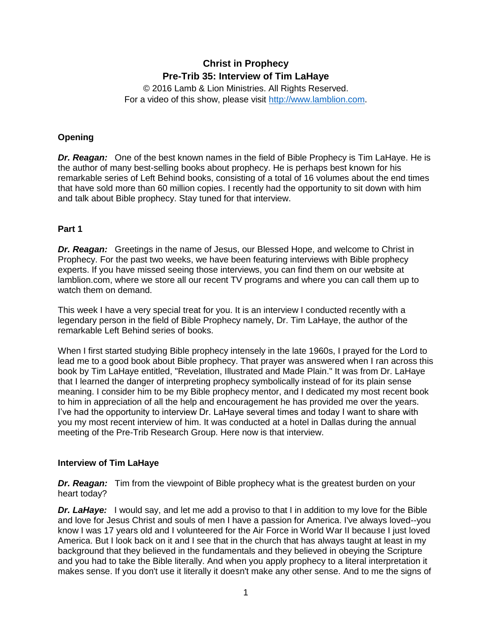# **Christ in Prophecy Pre-Trib 35: Interview of Tim LaHaye**

© 2016 Lamb & Lion Ministries. All Rights Reserved. For a video of this show, please visit [http://www.lamblion.com.](http://www.lamblion.com/)

# **Opening**

*Dr. Reagan:* One of the best known names in the field of Bible Prophecy is Tim LaHaye. He is the author of many best-selling books about prophecy. He is perhaps best known for his remarkable series of Left Behind books, consisting of a total of 16 volumes about the end times that have sold more than 60 million copies. I recently had the opportunity to sit down with him and talk about Bible prophecy. Stay tuned for that interview.

# **Part 1**

*Dr. Reagan:* Greetings in the name of Jesus, our Blessed Hope, and welcome to Christ in Prophecy. For the past two weeks, we have been featuring interviews with Bible prophecy experts. If you have missed seeing those interviews, you can find them on our website at lamblion.com, where we store all our recent TV programs and where you can call them up to watch them on demand.

This week I have a very special treat for you. It is an interview I conducted recently with a legendary person in the field of Bible Prophecy namely, Dr. Tim LaHaye, the author of the remarkable Left Behind series of books.

When I first started studying Bible prophecy intensely in the late 1960s, I prayed for the Lord to lead me to a good book about Bible prophecy. That prayer was answered when I ran across this book by Tim LaHaye entitled, "Revelation, Illustrated and Made Plain." It was from Dr. LaHaye that I learned the danger of interpreting prophecy symbolically instead of for its plain sense meaning. I consider him to be my Bible prophecy mentor, and I dedicated my most recent book to him in appreciation of all the help and encouragement he has provided me over the years. I've had the opportunity to interview Dr. LaHaye several times and today I want to share with you my most recent interview of him. It was conducted at a hotel in Dallas during the annual meeting of the Pre-Trib Research Group. Here now is that interview.

# **Interview of Tim LaHaye**

*Dr. Reagan:* Tim from the viewpoint of Bible prophecy what is the greatest burden on your heart today?

*Dr. LaHaye:* I would say, and let me add a proviso to that I in addition to my love for the Bible and love for Jesus Christ and souls of men I have a passion for America. I've always loved--you know I was 17 years old and I volunteered for the Air Force in World War II because I just loved America. But I look back on it and I see that in the church that has always taught at least in my background that they believed in the fundamentals and they believed in obeying the Scripture and you had to take the Bible literally. And when you apply prophecy to a literal interpretation it makes sense. If you don't use it literally it doesn't make any other sense. And to me the signs of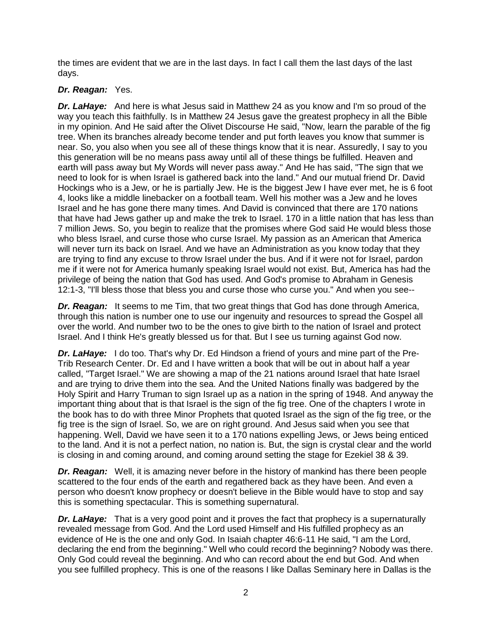the times are evident that we are in the last days. In fact I call them the last days of the last days.

# *Dr. Reagan:* Yes.

**Dr. LaHaye:** And here is what Jesus said in Matthew 24 as you know and I'm so proud of the way you teach this faithfully. Is in Matthew 24 Jesus gave the greatest prophecy in all the Bible in my opinion. And He said after the Olivet Discourse He said, "Now, learn the parable of the fig tree. When its branches already become tender and put forth leaves you know that summer is near. So, you also when you see all of these things know that it is near. Assuredly, I say to you this generation will be no means pass away until all of these things be fulfilled. Heaven and earth will pass away but My Words will never pass away." And He has said, "The sign that we need to look for is when Israel is gathered back into the land." And our mutual friend Dr. David Hockings who is a Jew, or he is partially Jew. He is the biggest Jew I have ever met, he is 6 foot 4, looks like a middle linebacker on a football team. Well his mother was a Jew and he loves Israel and he has gone there many times. And David is convinced that there are 170 nations that have had Jews gather up and make the trek to Israel. 170 in a little nation that has less than 7 million Jews. So, you begin to realize that the promises where God said He would bless those who bless Israel, and curse those who curse Israel. My passion as an American that America will never turn its back on Israel. And we have an Administration as you know today that they are trying to find any excuse to throw Israel under the bus. And if it were not for Israel, pardon me if it were not for America humanly speaking Israel would not exist. But, America has had the privilege of being the nation that God has used. And God's promise to Abraham in Genesis 12:1-3, "I'll bless those that bless you and curse those who curse you." And when you see--

*Dr. Reagan:* It seems to me Tim, that two great things that God has done through America, through this nation is number one to use our ingenuity and resources to spread the Gospel all over the world. And number two to be the ones to give birth to the nation of Israel and protect Israel. And I think He's greatly blessed us for that. But I see us turning against God now.

*Dr. LaHaye:* I do too. That's why Dr. Ed Hindson a friend of yours and mine part of the Pre-Trib Research Center. Dr. Ed and I have written a book that will be out in about half a year called, "Target Israel." We are showing a map of the 21 nations around Israel that hate Israel and are trying to drive them into the sea. And the United Nations finally was badgered by the Holy Spirit and Harry Truman to sign Israel up as a nation in the spring of 1948. And anyway the important thing about that is that Israel is the sign of the fig tree. One of the chapters I wrote in the book has to do with three Minor Prophets that quoted Israel as the sign of the fig tree, or the fig tree is the sign of Israel. So, we are on right ground. And Jesus said when you see that happening. Well, David we have seen it to a 170 nations expelling Jews, or Jews being enticed to the land. And it is not a perfect nation, no nation is. But, the sign is crystal clear and the world is closing in and coming around, and coming around setting the stage for Ezekiel 38 & 39.

*Dr. Reagan:* Well, it is amazing never before in the history of mankind has there been people scattered to the four ends of the earth and regathered back as they have been. And even a person who doesn't know prophecy or doesn't believe in the Bible would have to stop and say this is something spectacular. This is something supernatural.

*Dr. LaHaye:* That is a very good point and it proves the fact that prophecy is a supernaturally revealed message from God. And the Lord used Himself and His fulfilled prophecy as an evidence of He is the one and only God. In Isaiah chapter 46:6-11 He said, "I am the Lord, declaring the end from the beginning." Well who could record the beginning? Nobody was there. Only God could reveal the beginning. And who can record about the end but God. And when you see fulfilled prophecy. This is one of the reasons I like Dallas Seminary here in Dallas is the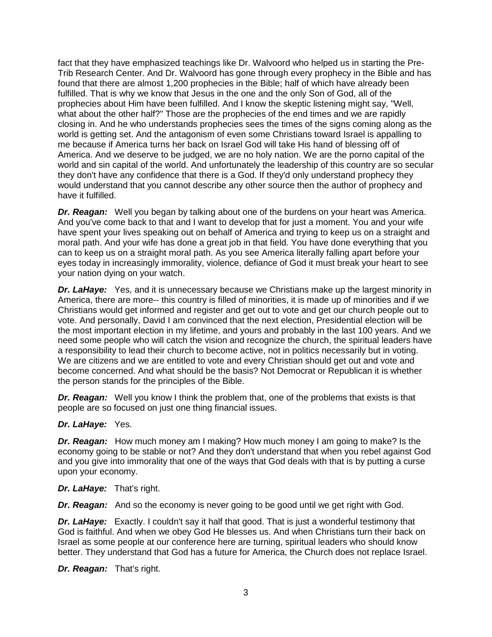fact that they have emphasized teachings like Dr. Walvoord who helped us in starting the Pre-Trib Research Center. And Dr. Walvoord has gone through every prophecy in the Bible and has found that there are almost 1,200 prophecies in the Bible; half of which have already been fulfilled. That is why we know that Jesus in the one and the only Son of God, all of the prophecies about Him have been fulfilled. And I know the skeptic listening might say, "Well, what about the other half?" Those are the prophecies of the end times and we are rapidly closing in. And he who understands prophecies sees the times of the signs coming along as the world is getting set. And the antagonism of even some Christians toward Israel is appalling to me because if America turns her back on Israel God will take His hand of blessing off of America. And we deserve to be judged, we are no holy nation. We are the porno capital of the world and sin capital of the world. And unfortunately the leadership of this country are so secular they don't have any confidence that there is a God. If they'd only understand prophecy they would understand that you cannot describe any other source then the author of prophecy and have it fulfilled.

*Dr. Reagan:* Well you began by talking about one of the burdens on your heart was America. And you've come back to that and I want to develop that for just a moment. You and your wife have spent your lives speaking out on behalf of America and trying to keep us on a straight and moral path. And your wife has done a great job in that field. You have done everything that you can to keep us on a straight moral path. As you see America literally falling apart before your eyes today in increasingly immorality, violence, defiance of God it must break your heart to see your nation dying on your watch.

*Dr. LaHaye:* Yes, and it is unnecessary because we Christians make up the largest minority in America, there are more-- this country is filled of minorities, it is made up of minorities and if we Christians would get informed and register and get out to vote and get our church people out to vote. And personally, David I am convinced that the next election, Presidential election will be the most important election in my lifetime, and yours and probably in the last 100 years. And we need some people who will catch the vision and recognize the church, the spiritual leaders have a responsibility to lead their church to become active, not in politics necessarily but in voting. We are citizens and we are entitled to vote and every Christian should get out and vote and become concerned. And what should be the basis? Not Democrat or Republican it is whether the person stands for the principles of the Bible.

**Dr. Reagan:** Well you know I think the problem that, one of the problems that exists is that people are so focused on just one thing financial issues.

#### *Dr. LaHaye:* Yes.

*Dr. Reagan:* How much money am I making? How much money I am going to make? Is the economy going to be stable or not? And they don't understand that when you rebel against God and you give into immorality that one of the ways that God deals with that is by putting a curse upon your economy.

*Dr. LaHaye:* That's right.

*Dr. Reagan:* And so the economy is never going to be good until we get right with God.

*Dr. LaHaye:* Exactly. I couldn't say it half that good. That is just a wonderful testimony that God is faithful. And when we obey God He blesses us. And when Christians turn their back on Israel as some people at our conference here are turning, spiritual leaders who should know better. They understand that God has a future for America, the Church does not replace Israel.

*Dr. Reagan:* That's right.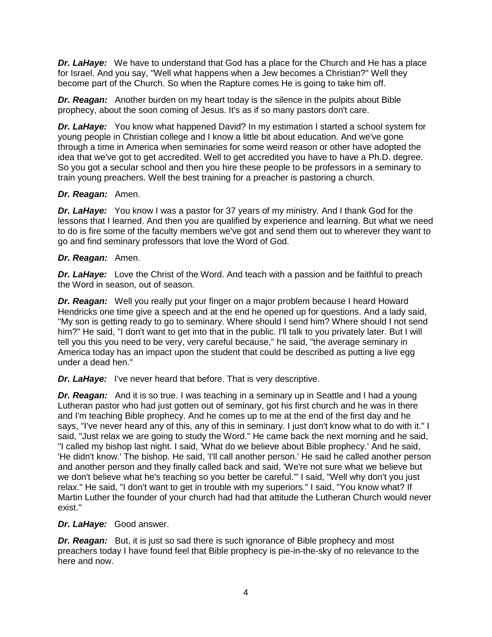*Dr. LaHaye:* We have to understand that God has a place for the Church and He has a place for Israel. And you say, "Well what happens when a Jew becomes a Christian?" Well they become part of the Church. So when the Rapture comes He is going to take him off.

*Dr. Reagan:* Another burden on my heart today is the silence in the pulpits about Bible prophecy, about the soon coming of Jesus. It's as if so many pastors don't care.

*Dr. LaHaye:* You know what happened David? In my estimation I started a school system for young people in Christian college and I know a little bit about education. And we've gone through a time in America when seminaries for some weird reason or other have adopted the idea that we've got to get accredited. Well to get accredited you have to have a Ph.D. degree. So you got a secular school and then you hire these people to be professors in a seminary to train young preachers. Well the best training for a preacher is pastoring a church.

## *Dr. Reagan:* Amen.

*Dr. LaHaye:* You know I was a pastor for 37 years of my ministry. And I thank God for the lessons that I learned. And then you are qualified by experience and learning. But what we need to do is fire some of the faculty members we've got and send them out to wherever they want to go and find seminary professors that love the Word of God.

## *Dr. Reagan:* Amen.

**Dr. LaHaye:** Love the Christ of the Word. And teach with a passion and be faithful to preach the Word in season, out of season.

*Dr. Reagan:* Well you really put your finger on a major problem because I heard Howard Hendricks one time give a speech and at the end he opened up for questions. And a lady said, "My son is getting ready to go to seminary. Where should I send him? Where should I not send him?" He said, "I don't want to get into that in the public. I'll talk to you privately later. But I will tell you this you need to be very, very careful because," he said, "the average seminary in America today has an impact upon the student that could be described as putting a live egg under a dead hen."

*Dr. LaHaye:* I've never heard that before. That is very descriptive.

*Dr. Reagan:* And it is so true. I was teaching in a seminary up in Seattle and I had a young Lutheran pastor who had just gotten out of seminary, got his first church and he was in there and I'm teaching Bible prophecy. And he comes up to me at the end of the first day and he says, "I've never heard any of this, any of this in seminary. I just don't know what to do with it." I said, "Just relax we are going to study the Word." He came back the next morning and he said, "I called my bishop last night. I said, 'What do we believe about Bible prophecy.' And he said, 'He didn't know.' The bishop. He said, 'I'll call another person.' He said he called another person and another person and they finally called back and said, 'We're not sure what we believe but we don't believe what he's teaching so you better be careful.'" I said, "Well why don't you just relax." He said, "I don't want to get in trouble with my superiors." I said, "You know what? If Martin Luther the founder of your church had had that attitude the Lutheran Church would never exist."

# *Dr. LaHaye:* Good answer.

**Dr. Reagan:** But, it is just so sad there is such ignorance of Bible prophecy and most preachers today I have found feel that Bible prophecy is pie-in-the-sky of no relevance to the here and now.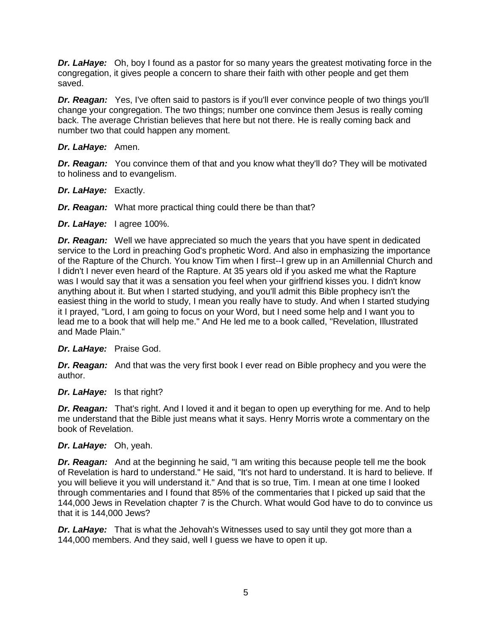*Dr. LaHaye:* Oh, boy I found as a pastor for so many years the greatest motivating force in the congregation, it gives people a concern to share their faith with other people and get them saved.

*Dr. Reagan:* Yes, I've often said to pastors is if you'll ever convince people of two things you'll change your congregation. The two things; number one convince them Jesus is really coming back. The average Christian believes that here but not there. He is really coming back and number two that could happen any moment.

## *Dr. LaHaye:* Amen.

*Dr. Reagan:* You convince them of that and you know what they'll do? They will be motivated to holiness and to evangelism.

- *Dr. LaHaye:* Exactly.
- *Dr. Reagan:* What more practical thing could there be than that?
- *Dr. LaHaye:* I agree 100%.

*Dr. Reagan:* Well we have appreciated so much the years that you have spent in dedicated service to the Lord in preaching God's prophetic Word. And also in emphasizing the importance of the Rapture of the Church. You know Tim when I first--I grew up in an Amillennial Church and I didn't I never even heard of the Rapture. At 35 years old if you asked me what the Rapture was I would say that it was a sensation you feel when your girlfriend kisses you. I didn't know anything about it. But when I started studying, and you'll admit this Bible prophecy isn't the easiest thing in the world to study, I mean you really have to study. And when I started studying it I prayed, "Lord, I am going to focus on your Word, but I need some help and I want you to lead me to a book that will help me." And He led me to a book called, "Revelation, Illustrated and Made Plain."

#### *Dr. LaHaye:* Praise God.

*Dr. Reagan:* And that was the very first book I ever read on Bible prophecy and you were the author.

#### *Dr. LaHaye:* Is that right?

*Dr. Reagan:* That's right. And I loved it and it began to open up everything for me. And to help me understand that the Bible just means what it says. Henry Morris wrote a commentary on the book of Revelation.

#### *Dr. LaHaye:* Oh, yeah.

*Dr. Reagan:* And at the beginning he said, "I am writing this because people tell me the book of Revelation is hard to understand." He said, "It's not hard to understand. It is hard to believe. If you will believe it you will understand it." And that is so true, Tim. I mean at one time I looked through commentaries and I found that 85% of the commentaries that I picked up said that the 144,000 Jews in Revelation chapter 7 is the Church. What would God have to do to convince us that it is 144,000 Jews?

*Dr. LaHaye:* That is what the Jehovah's Witnesses used to say until they got more than a 144,000 members. And they said, well I guess we have to open it up.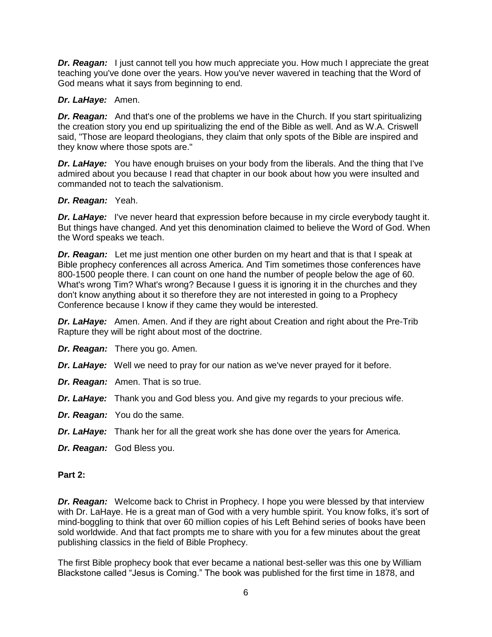*Dr. Reagan:* I just cannot tell you how much appreciate you. How much I appreciate the great teaching you've done over the years. How you've never wavered in teaching that the Word of God means what it says from beginning to end.

## *Dr. LaHaye:* Amen.

*Dr. Reagan:* And that's one of the problems we have in the Church. If you start spiritualizing the creation story you end up spiritualizing the end of the Bible as well. And as W.A. Criswell said, "Those are leopard theologians, they claim that only spots of the Bible are inspired and they know where those spots are."

**Dr. LaHaye:** You have enough bruises on your body from the liberals. And the thing that I've admired about you because I read that chapter in our book about how you were insulted and commanded not to teach the salvationism.

## *Dr. Reagan:* Yeah.

*Dr. LaHaye:* I've never heard that expression before because in my circle everybody taught it. But things have changed. And yet this denomination claimed to believe the Word of God. When the Word speaks we teach.

*Dr. Reagan:* Let me just mention one other burden on my heart and that is that I speak at Bible prophecy conferences all across America. And Tim sometimes those conferences have 800-1500 people there. I can count on one hand the number of people below the age of 60. What's wrong Tim? What's wrong? Because I guess it is ignoring it in the churches and they don't know anything about it so therefore they are not interested in going to a Prophecy Conference because I know if they came they would be interested.

*Dr. LaHaye:* Amen. Amen. And if they are right about Creation and right about the Pre-Trib Rapture they will be right about most of the doctrine.

- *Dr. Reagan:* There you go. Amen.
- *Dr. LaHaye:* Well we need to pray for our nation as we've never prayed for it before.
- *Dr. Reagan:* Amen. That is so true.
- *Dr. LaHaye:* Thank you and God bless you. And give my regards to your precious wife.
- *Dr. Reagan:* You do the same.
- *Dr. LaHaye:* Thank her for all the great work she has done over the years for America.
- *Dr. Reagan:* God Bless you.

#### **Part 2:**

*Dr. Reagan:* Welcome back to Christ in Prophecy. I hope you were blessed by that interview with Dr. LaHaye. He is a great man of God with a very humble spirit. You know folks, it's sort of mind-boggling to think that over 60 million copies of his Left Behind series of books have been sold worldwide. And that fact prompts me to share with you for a few minutes about the great publishing classics in the field of Bible Prophecy.

The first Bible prophecy book that ever became a national best-seller was this one by William Blackstone called "Jesus is Coming." The book was published for the first time in 1878, and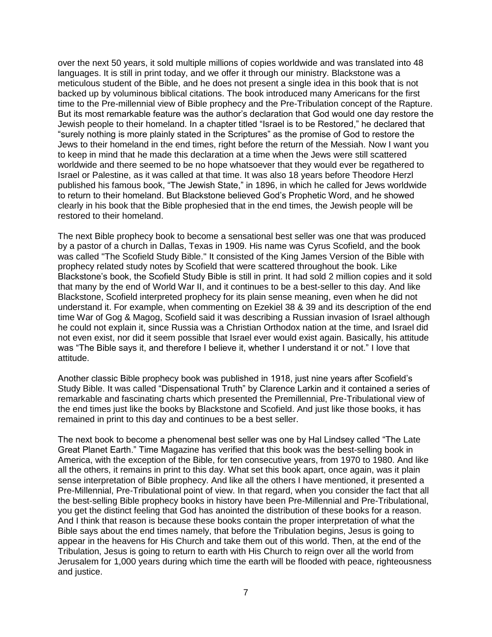over the next 50 years, it sold multiple millions of copies worldwide and was translated into 48 languages. It is still in print today, and we offer it through our ministry. Blackstone was a meticulous student of the Bible, and he does not present a single idea in this book that is not backed up by voluminous biblical citations. The book introduced many Americans for the first time to the Pre-millennial view of Bible prophecy and the Pre-Tribulation concept of the Rapture. But its most remarkable feature was the author's declaration that God would one day restore the Jewish people to their homeland. In a chapter titled "Israel is to be Restored," he declared that "surely nothing is more plainly stated in the Scriptures" as the promise of God to restore the Jews to their homeland in the end times, right before the return of the Messiah. Now I want you to keep in mind that he made this declaration at a time when the Jews were still scattered worldwide and there seemed to be no hope whatsoever that they would ever be regathered to Israel or Palestine, as it was called at that time. It was also 18 years before Theodore Herzl published his famous book, "The Jewish State," in 1896, in which he called for Jews worldwide to return to their homeland. But Blackstone believed God's Prophetic Word, and he showed clearly in his book that the Bible prophesied that in the end times, the Jewish people will be restored to their homeland.

The next Bible prophecy book to become a sensational best seller was one that was produced by a pastor of a church in Dallas, Texas in 1909. His name was Cyrus Scofield, and the book was called "The Scofield Study Bible." It consisted of the King James Version of the Bible with prophecy related study notes by Scofield that were scattered throughout the book. Like Blackstone's book, the Scofield Study Bible is still in print. It had sold 2 million copies and it sold that many by the end of World War II, and it continues to be a best-seller to this day. And like Blackstone, Scofield interpreted prophecy for its plain sense meaning, even when he did not understand it. For example, when commenting on Ezekiel 38 & 39 and its description of the end time War of Gog & Magog, Scofield said it was describing a Russian invasion of Israel although he could not explain it, since Russia was a Christian Orthodox nation at the time, and Israel did not even exist, nor did it seem possible that Israel ever would exist again. Basically, his attitude was "The Bible says it, and therefore I believe it, whether I understand it or not." I love that attitude.

Another classic Bible prophecy book was published in 1918, just nine years after Scofield's Study Bible. It was called "Dispensational Truth" by Clarence Larkin and it contained a series of remarkable and fascinating charts which presented the Premillennial, Pre-Tribulational view of the end times just like the books by Blackstone and Scofield. And just like those books, it has remained in print to this day and continues to be a best seller.

The next book to become a phenomenal best seller was one by Hal Lindsey called "The Late Great Planet Earth." Time Magazine has verified that this book was the best-selling book in America, with the exception of the Bible, for ten consecutive years, from 1970 to 1980. And like all the others, it remains in print to this day. What set this book apart, once again, was it plain sense interpretation of Bible prophecy. And like all the others I have mentioned, it presented a Pre-Millennial, Pre-Tribulational point of view. In that regard, when you consider the fact that all the best-selling Bible prophecy books in history have been Pre-Millennial and Pre-Tribulational, you get the distinct feeling that God has anointed the distribution of these books for a reason. And I think that reason is because these books contain the proper interpretation of what the Bible says about the end times namely, that before the Tribulation begins, Jesus is going to appear in the heavens for His Church and take them out of this world. Then, at the end of the Tribulation, Jesus is going to return to earth with His Church to reign over all the world from Jerusalem for 1,000 years during which time the earth will be flooded with peace, righteousness and justice.